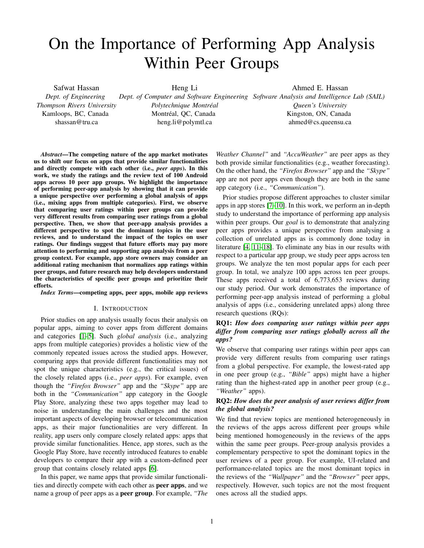# On the Importance of Performing App Analysis Within Peer Groups

Safwat Hassan *Dept. of Engineering Thompson Rivers University* Kamloops, BC, Canada shassan@tru.ca Heng Li *Dept. of Computer and Software Engineering Software Analysis and Intelligence Lab (SAIL) Polytechnique Montreal ´* Montréal, QC, Canada heng.li@polymtl.ca Ahmed E. Hassan *Queen's University* Kingston, ON, Canada ahmed@cs.queensu.ca

*Abstract*—The competing nature of the app market motivates us to shift our focus on apps that provide similar functionalities and directly compete with each other (i.e., *peer apps*). In this work, we study the ratings and the review text of 100 Android apps across 10 peer app groups. We highlight the importance of performing peer-app analysis by showing that it can provide a unique perspective over performing a global analysis of apps (i.e., mixing apps from multiple categories). First, we observe that comparing user ratings within peer groups can provide very different results from comparing user ratings from a global perspective. Then, we show that peer-app analysis provides a different perspective to spot the dominant topics in the user reviews, and to understand the impact of the topics on user ratings. Our findings suggest that future efforts may pay more attention to performing and supporting app analysis from a peer group context. For example, app store owners may consider an additional rating mechanism that normalizes app ratings within peer groups, and future research may help developers understand the characteristics of specific peer groups and prioritize their efforts.

*Index Terms*—competing apps, peer apps, mobile app reviews

#### I. INTRODUCTION

Prior studies on app analysis usually focus their analysis on popular apps, aiming to cover apps from different domains and categories [\[1–](#page-9-0)[5\]](#page-10-0). Such *global analysis* (i.e., analyzing apps from multiple categories) provides a holistic view of the commonly repeated issues across the studied apps. However, comparing apps that provide different functionalities may not spot the unique characteristics (e.g., the critical issues) of the closely related apps (i.e., *peer apps*). For example, even though the *"Firefox Browser"* app and the *"Skype"* app are both in the *"Communication"* app category in the Google Play Store, analyzing these two apps together may lead to noise in understanding the main challenges and the most important aspects of developing browser or telecommunication apps, as their major functionalities are very different. In reality, app users only compare closely related apps: apps that provide similar functionalities. Hence, app stores, such as the Google Play Store, have recently introduced features to enable developers to compare their app with a custom-defined peer group that contains closely related apps [\[6\]](#page-10-1).

In this paper, we name apps that provide similar functionalities and directly compete with each other as peer apps, and we name a group of peer apps as a peer group. For example, *"The*

*Weather Channel"* and *"AccuWeather"* are peer apps as they both provide similar functionalities (e.g., weather forecasting). On the other hand, the *"Firefox Browser"* app and the *"Skype"* app are not peer apps even though they are both in the same app category (i.e., *"Communication"*).

Prior studies propose different approaches to cluster similar apps in app stores [\[7–](#page-10-2)[10\]](#page-10-3). In this work, we perform an in-depth study to understand the importance of performing app analysis within peer groups. Our *goal* is to demonstrate that analyzing peer apps provides a unique perspective from analysing a collection of unrelated apps as is commonly done today in literature [\[4,](#page-10-4) [11–](#page-10-5)[18\]](#page-10-6). To eliminate any bias in our results with respect to a particular app group, we study peer apps across ten groups. We analyze the ten most popular apps for each peer group. In total, we analyze 100 apps across ten peer groups. These apps received a total of 6,773,653 reviews during our study period. Our work demonstrates the importance of performing peer-app analysis instead of performing a global analysis of apps (i.e., considering unrelated apps) along three research questions (RQs):

# RQ1: *How does comparing user ratings within peer apps differ from comparing user ratings globally across all the apps?*

We observe that comparing user ratings within peer apps can provide very different results from comparing user ratings from a global perspective. For example, the lowest-rated app in one peer group (e.g., *"Bible"* apps) might have a higher rating than the highest-rated app in another peer group (e.g., *"Weather"* apps).

# RQ2: *How does the peer analysis of user reviews differ from the global analysis?*

We find that review topics are mentioned heterogeneously in the reviews of the apps across different peer groups while being mentioned homogeneously in the reviews of the apps within the same peer groups. Peer-group analysis provides a complementary perspective to spot the dominant topics in the user reviews of a peer group. For example, UI-related and performance-related topics are the most dominant topics in the reviews of the *"Wallpaper"* and the *"Browser"* peer apps, respectively. However, such topics are not the most frequent ones across all the studied apps.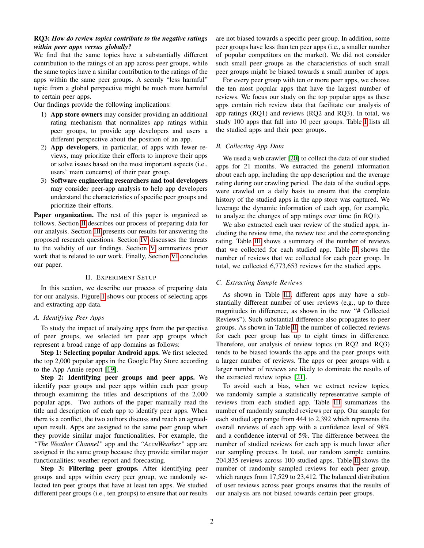# RQ3: *How do review topics contribute to the negative ratings within peer apps versus globally?*

We find that the same topics have a substantially different contribution to the ratings of an app across peer groups, while the same topics have a similar contribution to the ratings of the apps within the same peer groups. A seemly "less harmful" topic from a global perspective might be much more harmful to certain peer apps.

Our findings provide the following implications:

- 1) App store owners may consider providing an additional rating mechanism that normalizes app ratings within peer groups, to provide app developers and users a different perspective about the position of an app.
- 2) App developers, in particular, of apps with fewer reviews, may prioritize their efforts to improve their apps or solve issues based on the most important aspects (i.e., users' main concerns) of their peer group.
- 3) Software engineering researchers and tool developers may consider peer-app analysis to help app developers understand the characteristics of specific peer groups and prioritize their efforts.

Paper organization. The rest of this paper is organized as follows. Section [II](#page-1-0) describes our process of preparing data for our analysis. Section [III](#page-3-0) presents our results for answering the proposed research questions. Section [IV](#page-8-0) discusses the threats to the validity of our findings. Section [V](#page-9-1) summarizes prior work that is related to our work. Finally, Section [VI](#page-9-2) concludes our paper.

#### II. EXPERIMENT SETUP

<span id="page-1-0"></span>In this section, we describe our process of preparing data for our analysis. Figure [1](#page-2-0) shows our process of selecting apps and extracting app data.

#### *A. Identifying Peer Apps*

To study the impact of analyzing apps from the perspective of peer groups, we selected ten peer app groups which represent a broad range of app domains as follows:

Step 1: Selecting popular Android apps. We first selected the top 2,000 popular apps in the Google Play Store according to the App Annie report [\[19\]](#page-10-7).

Step 2: Identifying peer groups and peer apps. We identify peer groups and peer apps within each peer group through examining the titles and descriptions of the 2,000 popular apps. Two authors of the paper manually read the title and description of each app to identify peer apps. When there is a conflict, the two authors discuss and reach an agreedupon result. Apps are assigned to the same peer group when they provide similar major functionalities. For example, the *"The Weather Channel"* app and the *"AccuWeather"* app are assigned in the same group because they provide similar major functionalities: weather report and forecasting.

Step 3: Filtering peer groups. After identifying peer groups and apps within every peer group, we randomly selected ten peer groups that have at least ten apps. We studied different peer groups (i.e., ten groups) to ensure that our results are not biased towards a specific peer group. In addition, some peer groups have less than ten peer apps (i.e., a smaller number of popular competitors on the market). We did not consider such small peer groups as the characteristics of such small peer groups might be biased towards a small number of apps.

For every peer group with ten or more peer apps, we choose the ten most popular apps that have the largest number of reviews. We focus our study on the top popular apps as these apps contain rich review data that facilitate our analysis of app ratings (RQ1) and reviews (RQ2 and RQ3). In total, we study 100 apps that fall into 10 peer groups. Table [I](#page-2-1) lists all the studied apps and their peer groups.

#### *B. Collecting App Data*

We used a web crawler [\[20\]](#page-10-8) to collect the data of our studied apps for 21 months. We extracted the general information about each app, including the app description and the average rating during our crawling period. The data of the studied apps were crawled on a daily basis to ensure that the complete history of the studied apps in the app store was captured. We leverage the dynamic information of each app, for example, to analyze the changes of app ratings over time (in RQ1).

We also extracted each user review of the studied apps, including the review time, the review text and the corresponding rating. Table [III](#page-2-2) shows a summary of the number of reviews that we collected for each studied app. Table [II](#page-2-3) shows the number of reviews that we collected for each peer group. In total, we collected 6,773,653 reviews for the studied apps.

#### <span id="page-1-1"></span>*C. Extracting Sample Reviews*

As shown in Table [III,](#page-2-2) different apps may have a substantially different number of user reviews (e.g., up to three magnitudes in difference, as shown in the row "# Collected Reviews"). Such substantial difference also propagates to peer groups. As shown in Table [II,](#page-2-3) the number of collected reviews for each peer group has up to eight times in difference. Therefore, our analysis of review topics (in RQ2 and RQ3) tends to be biased towards the apps and the peer groups with a larger number of reviews. The apps or peer groups with a larger number of reviews are likely to dominate the results of the extracted review topics [\[21\]](#page-10-9).

To avoid such a bias, when we extract review topics, we randomly sample a statistically representative sample of reviews from each studied app. Table [III](#page-2-2) summarizes the number of randomly sampled reviews per app. Our sample for each studied app range from 444 to 2,392 which represents the overall reviews of each app with a confidence level of 98% and a confidence interval of 5%. The difference between the number of studied reviews for each app is much lower after our sampling process. In total, our random sample contains 204,835 reviews across 100 studied apps. Table [II](#page-2-3) shows the number of randomly sampled reviews for each peer group, which ranges from 17,529 to 23,412. The balanced distribution of user reviews across peer groups ensures that the results of our analysis are not biased towards certain peer groups.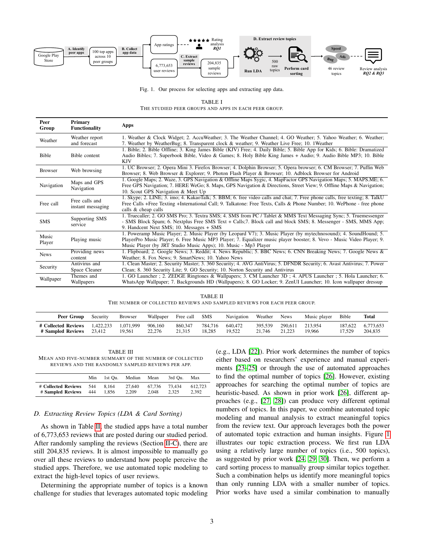

<span id="page-2-0"></span>Fig. 1. Our process for selecting apps and extracting app data.

TABLE I THE STUDIED PEER GROUPS AND APPS IN EACH PEER GROUP.

<span id="page-2-1"></span>

| Peer<br>Group   | Primary<br><b>Functionality</b>     | Apps                                                                                                                                                                                                                                                                                                         |
|-----------------|-------------------------------------|--------------------------------------------------------------------------------------------------------------------------------------------------------------------------------------------------------------------------------------------------------------------------------------------------------------|
| Weather         | Weather report<br>and forecast      | 1. Weather & Clock Widget; 2. AccuWeather; 3. The Weather Channel; 4. GO Weather; 5. Yahoo Weather; 6. Weather;<br>7. Weather by WeatherBug; 8. Transparent clock & weather; 9. Weather Live Free; 10. 1Weather                                                                                              |
| Bible           | Bible content                       | 1. Bible; 2. Bible Offline; 3. King James Bible (KJV) Free; 4. Daily Bible; 5. Bible App for Kids; 6. Bible: Dramatized<br>Audio Bibles; 7. Superbook Bible, Video & Games; 8. Holy Bible King James + Audio; 9. Audio Bible MP3; 10. Bible<br><b>KJV</b>                                                    |
| <b>Browser</b>  | Web browsing                        | 1. UC Browser; 2. Opera Mini 3. Firefox Browser; 4. Dolphin Browser; 5. Opera browser; 6. CM Browser; 7. Puffin Web<br>Browser; 8. Web Browser & Explorer; 9. Photon Flash Player & Browser; 10. Adblock Browser for Android                                                                                 |
| Navigation      | Maps and GPS<br>Navigation          | 1. Google Maps; 2. Waze, 3. GPS Navigation & Offline Maps Sygic, 4. MapFactor GPS Navigation Maps; 5. MAPS.ME; 6.<br>Free GPS Navigation; 7. HERE WeGo; 8. Maps, GPS Navigation & Directions, Street View; 9. Offline Maps & Navigation;<br>10. Scout GPS Navigation & Meet Up                               |
| Free call       | Free calls and<br>instant messaging | 1. Skype; 2. LINE; 3. imo; 4. KakaoTalk; 5. BBM; 6. free video calls and chat; 7. Free phone calls, free texting; 8. TalkU<br>Free Calls +Free Texting +International Call; 9. Talkatone: Free Texts, Calls & Phone Number; 10. WePhone - free phone<br>calls & cheap calls                                  |
| <b>SMS</b>      | Supporting SMS<br>service           | 1. Truecaller; 2. GO SMS Pro; 3. Textra SMS; 4. SMS from PC / Tablet & MMS Text Messaging Sync; 5. Truemessenger<br>- SMS Block Spam; 6. Nextplus Free SMS Text + Calls; 7. Block call and block SMS; 8. Messenger - SMS, MMS App;<br>9. Handcent Next SMS; 10. Messages + SMS                               |
| Music<br>Player | Playing music                       | 1. Poweramp Music Player, 2. Music Player (by Leopard V7); 3. Music Player (by mytechnosound); 4. SoundHound; 5.<br>PlayerPro Music Player; 6. Free Music MP3 Player; 7. Equalizer music player booster; 8. Vevo - Music Video Player; 9.<br>Music Player (by JRT Studio Music Apps); 10. Music - Mp3 Player |
| <b>News</b>     | Providing news<br>content           | 1. Flipboard; 2. Google News; 3. Reddit; 4. News Republic; 5. BBC News; 6. CNN Breaking News; 7. Google News &<br>Weather; 8. Fox News; 9. SmartNews; 10. Yahoo News                                                                                                                                         |
| Security        | Antivirus and<br>Space Cleaner      | 1. Clean Master, 2. Security Master, 3. 360 Security; 4. AVG AntiVirus; 5. DFNDR Security; 6. Avast Antivirus; 7. Power<br>Clean; 8. 360 Security Lite; 9. GO Security; 10. Norton Security and Antivirus                                                                                                    |
| Wallpaper       | Themes and<br>Wallpapers            | 1. GO Launcher; 2. ZEDGE Ringtones & Wallpapers; 3. CM Launcher 3D; 4. APUS Launcher; 5. Hola Launcher; 6.<br>WhatsApp Wallpaper; 7. Backgrounds HD (Wallpapers); 8. GO Locker; 9. ZenUI Launcher; 10. Icon wallpaper dressup                                                                                |

TABLE II THE NUMBER OF COLLECTED REVIEWS AND SAMPLED REVIEWS FOR EACH PEER GROUP.

<span id="page-2-3"></span>

| Peer Group          | Security  | <b>Browser</b> | Wallpaper | Free call | <b>SMS</b> | Navigation | Weather | <b>News</b> | Music player | Bible   | Total     |
|---------------------|-----------|----------------|-----------|-----------|------------|------------|---------|-------------|--------------|---------|-----------|
| # Collected Reviews | 1.422.233 | 1.071.999      | 906.160   | 860,347   | 784,716    | 640.472    | 395.539 | 290.611     | 213.954      | 187.622 | 6.773.653 |
| # Sampled Reviews   | 23.412    | 19.561         | 22.276    | 21.315    | 18.285     | 19.522     | 21.746  | 21.223      | 19.966       | 17.529  | 204,835   |

<span id="page-2-2"></span>TABLE III MEAN AND FIVE-NUMBER SUMMARY OF THE NUMBER OF COLLECTED REVIEWS AND THE RANDOMLY SAMPLED REVIEWS PER APP.

|                     | Min | 1st Ou. | Median | Mean   | 3rd Ou. | Max     |
|---------------------|-----|---------|--------|--------|---------|---------|
| # Collected Reviews | 544 | 8.164   | 27,640 | 67.736 | 73,434  | 612.723 |
| # Sampled Reviews   | 444 | 1.856   | 2.209  | 2.048  | 2.325   | 2.392   |

#### *D. Extracting Review Topics (LDA & Card Sorting)*

As shown in Table [II,](#page-2-3) the studied apps have a total number of 6,773,653 reviews that are posted during our studied period. After randomly sampling the reviews (Section [II-C\)](#page-1-1), there are still 204,835 reviews. It is almost impossible to manually go over all these reviews to understand how people perceive the studied apps. Therefore, we use automated topic modeling to extract the high-level topics of user reviews.

Determining the appropriate number of topics is a known challenge for studies that leverages automated topic modeling (e.g., LDA [\[22\]](#page-10-10)). Prior work determines the number of topics either based on researchers' experience and manual experiments [\[23–](#page-10-11)[25\]](#page-10-12) or through the use of automated approaches to find the optimal number of topics [\[26\]](#page-10-13). However, existing approaches for searching the optimal number of topics are heuristic-based. As shown in prior work [\[26\]](#page-10-13), different approaches (e.g., [\[27,](#page-10-14) [28\]](#page-10-15)) can produce very different optimal numbers of topics. In this paper, we combine automated topic modeling and manual analysis to extract meaningful topics from the review text. Our approach leverages both the power of automated topic extraction and human insights. Figure [1](#page-2-0) illustrates our topic extraction process. We first run LDA using a relatively large number of topics (i.e., 500 topics), as suggested by prior work [\[24,](#page-10-16) [29,](#page-11-0) [30\]](#page-11-1). Then, we perform a card sorting process to manually group similar topics together. Such a combination helps us identify more meaningful topics than only running LDA with a smaller number of topics. Prior works have used a similar combination to manually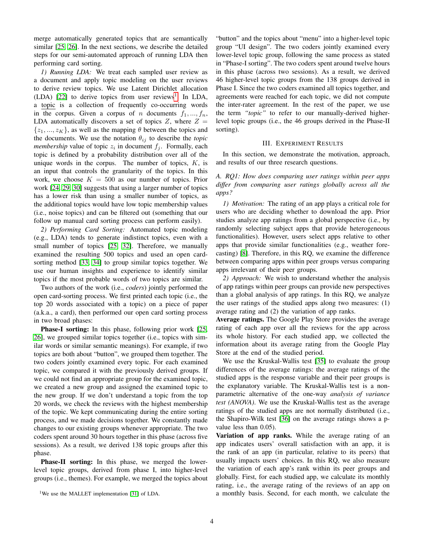merge automatically generated topics that are semantically similar [\[25,](#page-10-12) [26\]](#page-10-13). In the next sections, we describe the detailed steps for our semi-automated approach of running LDA then performing card sorting.

*1) Running LDA:* We treat each sampled user review as a document and apply topic modeling on the user reviews to derive review topics. We use Latent Dirichlet allocation  $(LDA)$  [\[22\]](#page-10-10) to derive topics from user reviews<sup>[1](#page-3-1)</sup>. In LDA, a topic is a collection of frequently co-occurring words in the corpus. Given a corpus of n documents  $f_1, ..., f_n$ , LDA automatically discovers a set of topics  $Z$ , where  $Z =$  $\{z_1, ..., z_K\}$ , as well as the mapping  $\theta$  between the topics and the documents. We use the notation  $\theta_{ij}$  to describe the *topic membership* value of topic  $z_i$  in document  $f_j$ . Formally, each topic is defined by a probability distribution over all of the unique words in the corpus. The number of topics,  $K$ , is an input that controls the granularity of the topics. In this work, we choose  $K = 500$  as our number of topics. Prior work [\[24,](#page-10-16) [29,](#page-11-0) [30\]](#page-11-1) suggests that using a larger number of topics has a lower risk than using a smaller number of topics, as the additional topics would have low topic membership values (i.e., noise topics) and can be filtered out (something that our follow up manual card sorting process can perform easily).

*2) Performing Card Sorting:* Automated topic modeling (e.g., LDA) tends to generate indistinct topics, even with a small number of topics [\[25,](#page-10-12) [32\]](#page-11-2). Therefore, we manually examined the resulting 500 topics and used an open cardsorting method [\[33,](#page-11-3) [34\]](#page-11-4) to group similar topics together. We use our human insights and experience to identify similar topics if the most probable words of two topics are similar.

Two authors of the work (i.e., *coders*) jointly performed the open card-sorting process. We first printed each topic (i.e., the top 20 words associated with a topic) on a piece of paper (a.k.a., a card), then performed our open card sorting process in two broad phases:

Phase-I sorting: In this phase, following prior work [\[25,](#page-10-12) [26\]](#page-10-13), we grouped similar topics together (i.e., topics with similar words or similar semantic meanings). For example, if two topics are both about "button", we grouped them together. The two coders jointly examined every topic. For each examined topic, we compared it with the previously derived groups. If we could not find an appropriate group for the examined topic, we created a new group and assigned the examined topic to the new group. If we don't understand a topic from the top 20 words, we check the reviews with the highest membership of the topic. We kept communicating during the entire sorting process, and we made decisions together. We constantly made changes to our existing groups whenever appropriate. The two coders spent around 30 hours together in this phase (across five sessions). As a result, we derived 138 topic groups after this phase.

Phase-II sorting: In this phase, we merged the lowerlevel topic groups, derived from phase I, into higher-level groups (i.e., themes). For example, we merged the topics about

"button" and the topics about "menu" into a higher-level topic group "UI design". The two coders jointly examined every lower-level topic group, following the same process as stated in "Phase-I sorting". The two coders spent around twelve hours in this phase (across two sessions). As a result, we derived 46 higher-level topic groups from the 138 groups derived in Phase I. Since the two coders examined all topics together, and agreements were reached for each topic, we did not compute the inter-rater agreement. In the rest of the paper, we use the term *"topic"* to refer to our manually-derived higherlevel topic groups (i.e., the 46 groups derived in the Phase-II sorting).

#### III. EXPERIMENT RESULTS

<span id="page-3-0"></span>In this section, we demonstrate the motivation, approach, and results of our three research questions.

# *A. RQ1: How does comparing user ratings within peer apps differ from comparing user ratings globally across all the apps?*

*1) Motivation:* The rating of an app plays a critical role for users who are deciding whether to download the app. Prior studies analyze app ratings from a global perspective (i.e., by randomly selecting subject apps that provide heterogeneous functionalities). However, users select apps relative to other apps that provide similar functionalities (e.g., weather forecasting) [\[8\]](#page-10-17). Therefore, in this RQ, we examine the difference between comparing apps within peer groups versus comparing apps irrelevant of their peer groups.

*2) Approach:* We wish to understand whether the analysis of app ratings within peer groups can provide new perspectives than a global analysis of app ratings. In this RQ, we analyze the user ratings of the studied apps along two measures: (1) average rating and (2) the variation of app ranks.

Average ratings. The Google Play Store provides the average rating of each app over all the reviews for the app across its whole history. For each studied app, we collected the information about its average rating from the Google Play Store at the end of the studied period.

We use the Kruskal-Wallis test [\[35\]](#page-11-6) to evaluate the group differences of the average ratings: the average ratings of the studied apps is the response variable and their peer groups is the explanatory variable. The Kruskal-Wallis test is a nonparametric alternative of the one-way *analysis of variance test (ANOVA)*. We use the Kruskal-Wallis test as the average ratings of the studied apps are not normally distributed (i.e., the Shapiro-Wilk test [\[36\]](#page-11-7) on the average ratings shows a pvalue less than 0.05).

Variation of app ranks. While the average rating of an app indicates users' overall satisfaction with an app, it is the rank of an app (in particular, relative to its peers) that usually impacts users' choices. In this RQ, we also measure the variation of each app's rank within its peer groups and globally. First, for each studied app, we calculate its monthly rating, i.e., the average rating of the reviews of an app on a monthly basis. Second, for each month, we calculate the

<span id="page-3-1"></span><sup>&</sup>lt;sup>1</sup>We use the MALLET implementation [\[31\]](#page-11-5) of LDA.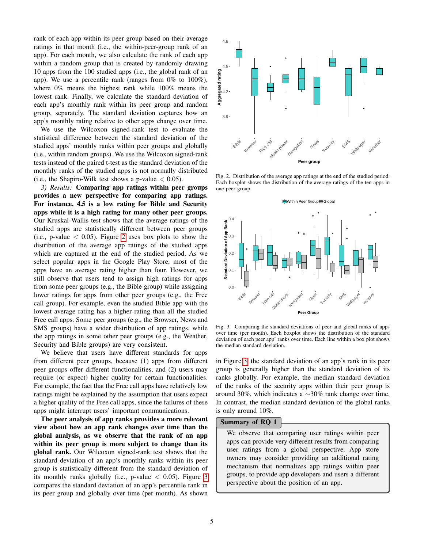rank of each app within its peer group based on their average ratings in that month (i.e., the within-peer-group rank of an app). For each month, we also calculate the rank of each app within a random group that is created by randomly drawing 10 apps from the 100 studied apps (i.e., the global rank of an app). We use a percentile rank (ranges from 0% to 100%), where 0% means the highest rank while 100% means the lowest rank. Finally, we calculate the standard deviation of each app's monthly rank within its peer group and random group, separately. The standard deviation captures how an app's monthly rating relative to other apps change over time.

We use the Wilcoxon signed-rank test to evaluate the statistical difference between the standard deviation of the studied apps' monthly ranks within peer groups and globally (i.e., within random groups). We use the Wilcoxon signed-rank tests instead of the paired t-test as the standard deviation of the monthly ranks of the studied apps is not normally distributed (i.e., the Shapiro-Wilk test shows a p-value  $< 0.05$ ).

*3) Results:* Comparing app ratings within peer groups provides a new perspective for comparing app ratings. For instance, 4.5 is a low rating for Bible and Security apps while it is a high rating for many other peer groups. Our Kruskal-Wallis test shows that the average ratings of the studied apps are statistically different between peer groups (i.e., p-value  $\langle 0.05 \rangle$ ). Figure [2](#page-4-0) uses box plots to show the distribution of the average app ratings of the studied apps which are captured at the end of the studied period. As we select popular apps in the Google Play Store, most of the apps have an average rating higher than four. However, we still observe that users tend to assign high ratings for apps from some peer groups (e.g., the Bible group) while assigning lower ratings for apps from other peer groups (e.g., the Free call group). For example, even the studied Bible app with the lowest average rating has a higher rating than all the studied Free call apps. Some peer groups (e.g., the Browser, News and SMS groups) have a wider distribution of app ratings, while the app ratings in some other peer groups (e.g., the Weather, Security and Bible groups) are very consistent.

We believe that users have different standards for apps from different peer groups, because (1) apps from different peer groups offer different functionalities, and (2) users may require (or expect) higher quality for certain functionalities. For example, the fact that the Free call apps have relatively low ratings might be explained by the assumption that users expect a higher quality of the Free call apps, since the failures of these apps might interrupt users' important communications.

The peer analysis of app ranks provides a more relevant view about how an app rank changes over time than the global analysis, as we observe that the rank of an app within its peer group is more subject to change than its global rank. Our Wilcoxon signed-rank test shows that the standard deviation of an app's monthly ranks within its peer group is statistically different from the standard deviation of its monthly ranks globally (i.e., p-value  $\langle 0.05 \rangle$ ). Figure [3](#page-4-1) compares the standard deviation of an app's percentile rank in its peer group and globally over time (per month). As shown



<span id="page-4-0"></span>Fig. 2. Distribution of the average app ratings at the end of the studied period. Each boxplot shows the distribution of the average ratings of the ten apps in one peer group.



<span id="page-4-1"></span>Fig. 3. Comparing the standard deviations of peer and global ranks of apps over time (per month). Each boxplot shows the distribution of the standard deviation of each peer app' ranks over time. Each line within a box plot shows the median standard deviation.

in Figure [3,](#page-4-1) the standard deviation of an app's rank in its peer group is generally higher than the standard deviation of its ranks globally. For example, the median standard deviation of the ranks of the security apps within their peer group is around 30%, which indicates a  $\sim$ 30% rank change over time. In contrast, the median standard deviation of the global ranks is only around 10%.

#### Summary of RQ 1

We observe that comparing user ratings within peer apps can provide very different results from comparing user ratings from a global perspective. App store owners may consider providing an additional rating mechanism that normalizes app ratings within peer groups, to provide app developers and users a different perspective about the position of an app.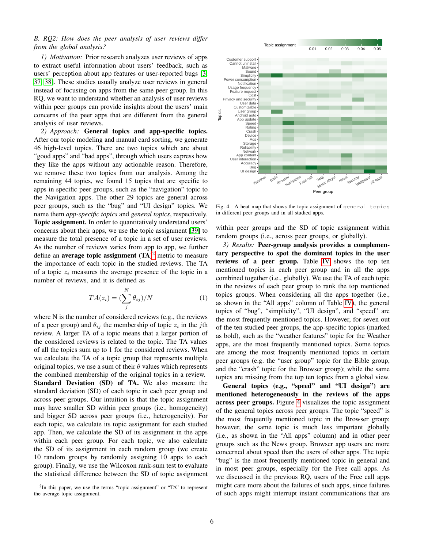# *B. RQ2: How does the peer analysis of user reviews differ from the global analysis?*

*1) Motivation:* Prior research analyzes user reviews of apps to extract useful information about users' feedback, such as users' perception about app features or user-reported bugs [\[3,](#page-10-18) [37,](#page-11-8) [38\]](#page-11-9). These studies usually analyze user reviews in general instead of focusing on apps from the same peer group. In this RQ, we want to understand whether an analysis of user reviews within peer groups can provide insights about the users' main concerns of the peer apps that are different from the general analysis of user reviews.

*2) Approach:* General topics and app-specific topics. After our topic modeling and manual card sorting, we generate 46 high-level topics. There are two topics which are about "good apps" and "bad apps", through which users express how they like the apps without any actionable reason. Therefore, we remove these two topics from our analysis. Among the remaining 44 topics, we found 15 topics that are specific to apps in specific peer groups, such as the "navigation" topic to the Navigation apps. The other 29 topics are general across peer groups, such as the "bug" and "UI design" topics. We name them *app-specific topics* and *general topics*, respectively. Topic assignment. In order to quantitatively understand users' concerns about their apps, we use the topic assignment [\[39\]](#page-11-10) to measure the total presence of a topic in a set of user reviews. As the number of reviews varies from app to app, we further define an **average topic assignment**  $(TA)^2$  $(TA)^2$  metric to measure the importance of each topic in the studied reviews. The TA of a topic  $z_i$  measures the average presence of the topic in a number of reviews, and it is defined as

$$
TA(z_i) = \left(\sum_{j}^{N} \theta_{ij}\right) / N \tag{1}
$$

where N is the number of considered reviews (e.g., the reviews of a peer group) and  $\theta_{ij}$  the membership of topic  $z_i$  in the jth review. A larger TA of a topic means that a larger portion of the considered reviews is related to the topic. The TA values of all the topics sum up to 1 for the considered reviews. When we calculate the TA of a topic group that represents multiple original topics, we use a sum of their  $\theta$  values which represents the combined membership of the original topics in a review. Standard Deviation (SD) of TA. We also measure the standard deviation (SD) of each topic in each peer group and across peer groups. Our intuition is that the topic assignment may have smaller SD within peer groups (i.e., homogeneity) and bigger SD across peer groups (i.e., heterogeneity). For each topic, we calculate its topic assignment for each studied app. Then, we calculate the SD of its assignment in the apps within each peer group. For each topic, we also calculate the SD of its assignment in each random group (we create 10 random groups by randomly assigning 10 apps to each group). Finally, we use the Wilcoxon rank-sum test to evaluate the statistical difference between the SD of topic assignment

<span id="page-5-0"></span> $2$ In this paper, we use the terms "topic assignment" or "TA" to represent the average topic assignment.



<span id="page-5-1"></span>Fig. 4. A heat map that shows the topic assignment of general topics in different peer groups and in all studied apps.

within peer groups and the SD of topic assignment within random groups (i.e., across peer groups, or globally).

*3) Results:* Peer-group analysis provides a complementary perspective to spot the dominant topics in the user reviews of a peer group. Table [IV](#page-6-0) shows the top ten mentioned topics in each peer group and in all the apps combined together (i.e., globally). We use the TA of each topic in the reviews of each peer group to rank the top mentioned topics groups. When considering all the apps together (i.e., as shown in the "All apps" column of Table [IV\)](#page-6-0), the general topics of "bug", "simplicity", "UI design", and "speed" are the most frequently mentioned topics. However, for seven out of the ten studied peer groups, the app-specific topics (marked as bold), such as the "weather features" topic for the Weather apps, are the most frequently mentioned topics. Some topics are among the most frequently mentioned topics in certain peer groups (e.g. the "user group" topic for the Bible group, and the "crash" topic for the Browser group); while the same topics are missing from the top ten topics from a global view.

General topics (e.g., "speed" and "UI design") are mentioned heterogeneously in the reviews of the apps across peer groups. Figure [4](#page-5-1) visualizes the topic assignment of the general topics across peer groups. The topic "speed" is the most frequently mentioned topic in the Browser group; however, the same topic is much less important globally (i.e., as shown in the "All apps" column) and in other peer groups such as the News group. Browser app users are more concerned about speed than the users of other apps. The topic "bug" is the most frequently mentioned topic in general and in most peer groups, especially for the Free call apps. As we discussed in the previous RQ, users of the Free call apps might care more about the failures of such apps, since failures of such apps might interrupt instant communications that are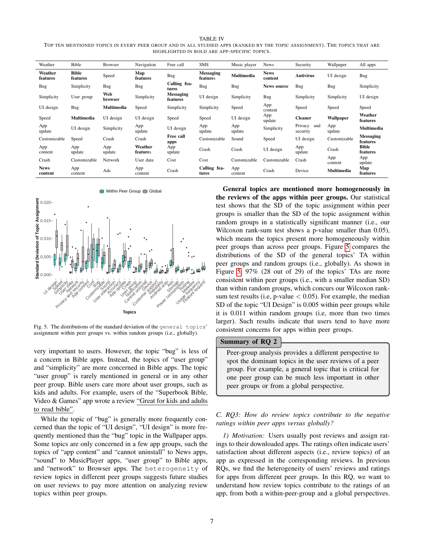<span id="page-6-0"></span>TABLE IV TOP TEN MENTIONED TOPICS IN EVERY PEER GROUP AND IN ALL STUDIED APPS (RANKED BY THE TOPIC ASSIGNMENT). THE TOPICS THAT ARE HIGHLIGHTED IN BOLD ARE APP-SPECIFIC TOPICS.

| Weather                | Bible                    | <b>Browser</b> | Navigation          | Free call                    | SMS                          | Music player   | News                   | Security                   | Wallpaper      | All apps                     |
|------------------------|--------------------------|----------------|---------------------|------------------------------|------------------------------|----------------|------------------------|----------------------------|----------------|------------------------------|
| Weather<br>features    | <b>Bible</b><br>features | Speed          | Map<br>features     | Bug                          | <b>Messaging</b><br>features | Multimedia     | <b>News</b><br>content | Antivirus                  | UI design      | Bug                          |
| Bug                    | Simplicity               | Bug            | Bug                 | Calling fea-<br>tures        | Bug                          | Bug            | <b>News source</b>     | Bug                        | Bug            | Simplicity                   |
| Simplicity             | User group               | Web<br>browser | Simplicity          | <b>Messaging</b><br>features | UI design                    | Simplicity     | Bug                    | Simplicity                 | Simplicity     | UI design                    |
| UI design              | Bug                      | Multimedia     | Speed               | Simplicity                   | Simplicity                   | Speed          | App<br>content         | Speed                      | Speed          | Speed                        |
| Speed                  | <b>Multimedia</b>        | UI design      | UI design           | Speed                        | Speed                        | UI design      | App<br>update          | <b>Cleaner</b>             | Wallpaper      | Weather<br>features          |
| App<br>update          | UI design                | Simplicity     | App<br>update       | UI design                    | App<br>update                | App<br>update  | Simplicity             | Privacy<br>and<br>security | App<br>update  | <b>Multimedia</b>            |
| Customizable           | Speed                    | Crash          | Crash               | Free call<br>apps            | Customizable                 | Sound          | Speed                  | UI design                  | Customizable   | <b>Messaging</b><br>features |
| App<br>content         | App<br>update            | App<br>update  | Weather<br>features | App<br>update                | Crash                        | Crash          | UI design              | App<br>update              | Crash          | <b>Bible</b><br>features     |
| Crash                  | Customizable             | Network        | User data           | Cost                         | Cost                         | Customizable   | Customizable           | Crash                      | App<br>content | App<br>update                |
| <b>News</b><br>content | App<br>content           | Ads            | App<br>content      | Crash                        | Calling fea-<br>tures        | App<br>content | Crash                  | Device                     | Multimedia     | Map<br>features              |



<span id="page-6-1"></span>Fig. 5. The distributions of the standard deviation of the general topics' assignment within peer groups vs. within random groups (i.e., globally).

very important to users. However, the topic "bug" is less of a concern in Bible apps. Instead, the topics of "user group" and "simplicity" are more concerned in Bible apps. The topic "user group" is rarely mentioned in general or in any other peer group. Bible users care more about user groups, such as kids and adults. For example, users of the "Superbook Bible, Video & Games" app wrote a review "Great for kids and adults to read bible".

While the topic of "bug" is generally more frequently concerned than the topic of "UI design", "UI design" is more frequently mentioned than the "bug" topic in the Wallpaper apps. Some topics are only concerned in a few app groups, such the topics of "app content" and "cannot uninstall" to News apps, "sound" to MusicPlayer apps, "user group" to Bible apps, and "network" to Browser apps. The heterogeneity of review topics in different peer groups suggests future studies on user reviews to pay more attention on analyzing review topics within peer groups.

General topics are mentioned more homogeneously in the reviews of the apps within peer groups. Our statistical test shows that the SD of the topic assignment within peer groups is smaller than the SD of the topic assignment within random groups in a statistically significant manner (i.e., our Wilcoxon rank-sum test shows a p-value smaller than 0.05), which means the topics present more homogeneously within peer groups than across peer groups. Figure [5](#page-6-1) compares the distributions of the SD of the general topics' TA within peer groups and random groups (i.e., globally). As shown in Figure [5,](#page-6-1) 97% (28 out of 29) of the topics' TAs are more consistent within peer groups (i.e., with a smaller median SD) than within random groups, which concurs our Wilcoxon ranksum test results (i.e, p-value  $< 0.05$ ). For example, the median SD of the topic "UI Design" is 0.005 within peer groups while it is 0.011 within random groups (i.e, more than two times larger). Such results indicate that users tend to have more consistent concerns for apps within peer groups.

#### Summary of RQ 2

Peer-group analysis provides a different perspective to spot the dominant topics in the user reviews of a peer group. For example, a general topic that is critical for one peer group can be much less important in other peer groups or from a global perspective.

# *C. RQ3: How do review topics contribute to the negative ratings within peer apps versus globally?*

*1) Motivation:* Users usually post reviews and assign ratings to their downloaded apps. The ratings often indicate users' satisfaction about different aspects (i.e., review topics) of an app as expressed in the corresponding reviews. In previous RQs, we find the heterogeneity of users' reviews and ratings for apps from different peer groups. In this RQ, we want to understand how review topics contribute to the ratings of an app, from both a within-peer-group and a global perspectives.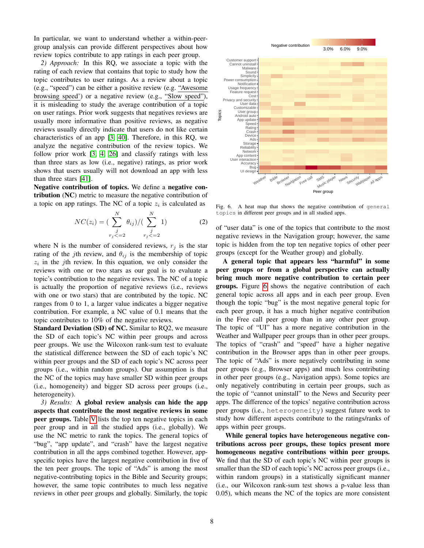In particular, we want to understand whether a within-peergroup analysis can provide different perspectives about how review topics contribute to app ratings in each peer group.

*2) Approach:* In this RQ, we associate a topic with the rating of each review that contains that topic to study how the topic contributes to user ratings. As a review about a topic (e.g., "speed") can be either a positive review (e.g. "Awesome browsing speed') or a negative review (e.g., "Slow speed"), it is misleading to study the average contribution of a topic on user ratings. Prior work suggests that negatives reviews are usually more informative than positive reviews, as negative reviews usually directly indicate that users do not like certain characteristics of an app [\[3,](#page-10-18) [40\]](#page-11-11). Therefore, in this RQ, we analyze the negative contribution of the review topics. We follow prior work [\[3,](#page-10-18) [4,](#page-10-4) [26\]](#page-10-13) and classify ratings with less than three stars as low (i.e., negative) ratings, as prior work shows that users usually will not download an app with less than three stars [\[41\]](#page-11-12).

Negative contribution of topics. We define a negative contribution (NC) metric to measure the negative contribution of a topic on app ratings. The NC of a topic  $z_i$  is calculated as

$$
NC(z_i) = \left(\sum_{\substack{j\\r_j < -2}}^N \theta_{ij}\right) / \left(\sum_{\substack{j\\r_j < -2}}^N 1\right) \tag{2}
$$

where N is the number of considered reviews,  $r_i$  is the star rating of the jth review, and  $\theta_{ij}$  is the membership of topic  $z_i$  in the *j*th review. In this equation, we only consider the reviews with one or two stars as our goal is to evaluate a topic's contribution to the negative reviews. The NC of a topic is actually the proportion of negative reviews (i.e., reviews with one or two stars) that are contributed by the topic. NC ranges from 0 to 1, a larger value indicates a bigger negative contribution. For example, a NC value of 0.1 means that the topic contributes to 10% of the negative reviews.

Standard Deviation (SD) of NC. Similar to RQ2, we measure the SD of each topic's NC within peer groups and across peer groups. We use the Wilcoxon rank-sum test to evaluate the statistical difference between the SD of each topic's NC within peer groups and the SD of each topic's NC across peer groups (i.e., within random groups). Our assumption is that the NC of the topics may have smaller SD within peer groups (i.e., homogeneity) and bigger SD across peer groups (i.e., heterogeneity).

*3) Results:* A global review analysis can hide the app aspects that contribute the most negative reviews in some peer groups. Table [V](#page-8-1) lists the top ten negative topics in each peer group and in all the studied apps (i.e., globally). We use the NC metric to rank the topics. The general topics of "bug", "app update", and "crash" have the largest negative contribution in all the apps combined together. However, appspecific topics have the largest negative contribution in five of the ten peer groups. The topic of "Ads" is among the most negative-contributing topics in the Bible and Security groups; however, the same topic contributes to much less negative reviews in other peer groups and globally. Similarly, the topic



<span id="page-7-0"></span>Fig. 6. A heat map that shows the negative contribution of general topics in different peer groups and in all studied apps.

of "user data" is one of the topics that contribute to the most negative reviews in the Navigation group; however, the same topic is hidden from the top ten negative topics of other peer groups (except for the Weather group) and globally.

A general topic that appears less "harmful" in some peer groups or from a global perspective can actually bring much more negative contribution to certain peer groups. Figure [6](#page-7-0) shows the negative contribution of each general topic across all apps and in each peer group. Even though the topic "bug" is the most negative general topic for each peer group, it has a much higher negative contribution in the Free call peer group than in any other peer group. The topic of "UI" has a more negative contribution in the Weather and Wallpaper peer groups than in other peer groups. The topics of "crash" and "speed" have a higher negative contribution in the Browser apps than in other peer groups. The topic of "Ads" is more negatively contributing in some peer groups (e.g., Browser apps) and much less contributing in other peer groups (e.g., Navigation apps). Some topics are only negatively contributing in certain peer groups, such as the topic of "cannot uninstall" to the News and Security peer apps. The difference of the topics' negative contribution across peer groups (i.e., heterogeneity) suggest future work to study how different aspects contribute to the ratings/ranks of apps within peer groups.

While general topics have heterogeneous negative contributions across peer groups, these topics present more homogeneous negative contributions within peer groups. We find that the SD of each topic's NC within peer groups is smaller than the SD of each topic's NC across peer groups (i.e., within random groups) in a statistically significant manner (i.e., our Wilcoxon rank-sum test shows a p-value less than 0.05), which means the NC of the topics are more consistent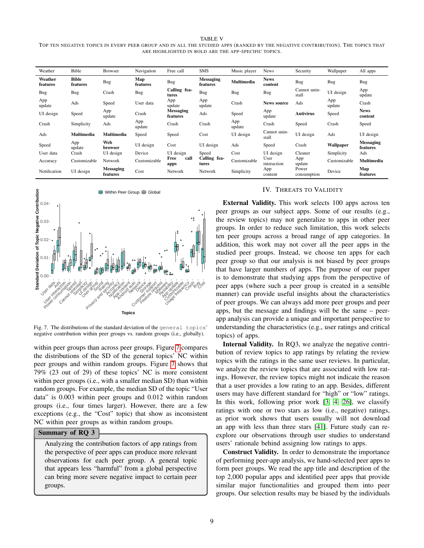#### TABLE V

<span id="page-8-1"></span>TOP TEN NEGATIVE TOPICS IN EVERY PEER GROUP AND IN ALL THE STUDIED APPS (RANKED BY THE NEGATIVE CONTRIBUTION). THE TOPICS THAT ARE HIGHLIGHTED IN BOLD ARE THE APP-SPECIFIC TOPICS.

| Weather             | Bible             | <b>Browser</b>               | Navigation      | Free call                    | <b>SMS</b>                   | Music player  | News                   | Security              | Wallpaper     | All apps                     |
|---------------------|-------------------|------------------------------|-----------------|------------------------------|------------------------------|---------------|------------------------|-----------------------|---------------|------------------------------|
| Weather<br>features | Bible<br>features | Bug                          | Map<br>features | Bug                          | <b>Messaging</b><br>features | Multimedia    | <b>News</b><br>content | Bug                   | Bug           | Bug                          |
| Bug                 | Bug               | Crash                        | Bug             | Calling fea-<br>tures        | Bug                          | Bug           | Bug                    | Cannot unin-<br>stall | UI design     | App<br>update                |
| App<br>update       | Ads               | Speed                        | User data       | App<br>update                | App<br>update                | Crash         | <b>News source</b>     | Ads                   | App<br>update | Crash                        |
| UI design           | Speed             | App<br>update                | Crash           | <b>Messaging</b><br>features | Ads                          | Speed         | App<br>update          | Antivirus             | Speed         | <b>News</b><br>content       |
| Crash               | Simplicity        | Ads                          | App<br>update   | Crash                        | Crash                        | App<br>update | Crash                  | Speed                 | Crash         | Speed                        |
| Ads                 | Multimedia        | Multimedia                   | Speed           | Speed                        | Cost                         | UI design     | Cannot unin-<br>stall  | UI design             | Ads           | UI design                    |
| Speed               | App<br>update     | Web<br>browser               | UI design       | Cost                         | UI design                    | Ads           | Speed                  | Crash                 | Wallpaper     | <b>Messaging</b><br>features |
| User data           | Crash             | UI design                    | Device          | UI design                    | Speed                        | Cost          | UI design              | Cleaner               | Simplicity    | Ads                          |
| Accuracy            | Customizable      | Network                      | Customizable    | Free<br>call<br>apps         | Calling fea-<br>tures        | Customizable  | User<br>interaction    | App<br>update         | Customizable  | <b>Multimedia</b>            |
| Notification        | UI design         | <b>Messaging</b><br>features | Cost            | Network                      | Network                      | Simplicity    | App<br>content         | Power<br>consumption  | Device        | Map<br>features              |



<span id="page-8-2"></span>Fig. 7. The distributions of the standard deviation of the general topics' negative contribution within peer groups vs. random groups (i.e., globally).

within peer groups than across peer groups. Figure [7](#page-8-2) compares the distributions of the SD of the general topics' NC within peer groups and within random groups. Figure [7](#page-8-2) shows that 79% (23 out of 29) of these topics' NC is more consistent within peer groups (i.e., with a smaller median SD) than within random groups. For example, the median SD of the topic "User data" is 0.003 within peer groups and 0.012 within random groups (i.e., four times larger). However, there are a few exceptions (e.g., the "Cost" topic) that show as inconsistent NC within peer groups as within random groups.

#### Summary of RQ 3

Analyzing the contribution factors of app ratings from the perspective of peer apps can produce more relevant observations for each peer group. A general topic that appears less "harmful" from a global perspective can bring more severe negative impact to certain peer groups.

#### IV. THREATS TO VALIDITY

<span id="page-8-0"></span>External Validity. This work selects 100 apps across ten peer groups as our subject apps. Some of our results (e.g., the review topics) may not generalize to apps in other peer groups. In order to reduce such limitation, this work selects ten peer groups across a broad range of app categories. In addition, this work may not cover all the peer apps in the studied peer groups. Instead, we choose ten apps for each peer group so that our analysis is not biased by peer groups that have larger numbers of apps. The purpose of our paper is to demonstrate that studying apps from the perspective of peer apps (where such a peer group is created in a sensible manner) can provide useful insights about the characteristics of peer groups. We can always add more peer groups and peer apps, but the message and findings will be the same – peerapp analysis can provide a unique and important perspective to understanding the characteristics (e.g., user ratings and critical topics) of apps.

Internal Validity. In RQ3, we analyze the negative contribution of review topics to app ratings by relating the review topics with the ratings in the same user reviews. In particular, we analyze the review topics that are associated with low ratings. However, the review topics might not indicate the reason that a user provides a low rating to an app. Besides, different users may have different standard for "high" or "low" ratings. In this work, following prior work [\[3,](#page-10-18) [4,](#page-10-4) [26\]](#page-10-13), we classify ratings with one or two stars as low (i.e., negative) ratings, as prior work shows that users usually will not download an app with less than three stars [\[41\]](#page-11-12). Future study can reexplore our observations through user studies to understand users' rationale behind assigning low ratings to apps.

Construct Validity. In order to demonstrate the importance of performing peer-app analysis, we hand-selected peer apps to form peer groups. We read the app title and description of the top 2,000 popular apps and identified peer apps that provide similar major functionalities and grouped them into peer groups. Our selection results may be biased by the individuals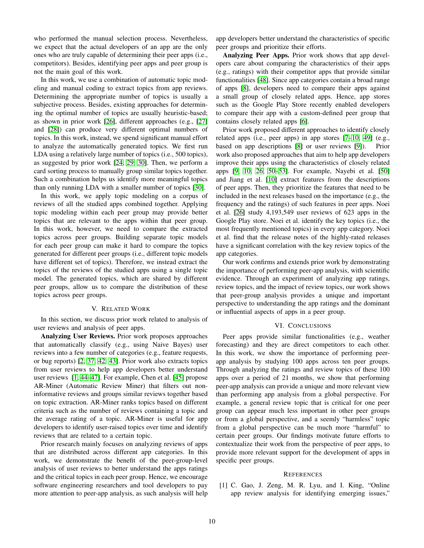who performed the manual selection process. Nevertheless, we expect that the actual developers of an app are the only ones who are truly capable of determining their peer apps (i.e., competitors). Besides, identifying peer apps and peer group is not the main goal of this work.

In this work, we use a combination of automatic topic modeling and manual coding to extract topics from app reviews. Determining the appropriate number of topics is usually a subjective process. Besides, existing approaches for determining the optimal number of topics are usually heuristic-based; as shown in prior work [\[26\]](#page-10-13), different approaches (e.g., [\[27\]](#page-10-14) and [\[28\]](#page-10-15)) can produce very different optimal numbers of topics. In this work, instead, we spend significant manual effort to analyze the automatically generated topics. We first run LDA using a relatively large number of topics (i.e., 500 topics), as suggested by prior work [\[24,](#page-10-16) [29,](#page-11-0) [30\]](#page-11-1). Then, we perform a card sorting process to manually group similar topics together. Such a combination helps us identify more meaningful topics than only running LDA with a smaller number of topics [\[30\]](#page-11-1).

In this work, we apply topic modeling on a corpus of reviews of all the studied apps combined together. Applying topic modeling within each peer group may provide better topics that are relevant to the apps within that peer group. In this work, however, we need to compare the extracted topics across peer groups. Building separate topic models for each peer group can make it hard to compare the topics generated for different peer groups (i.e., different topic models have different set of topics). Therefore, we instead extract the topics of the reviews of the studied apps using a single topic model. The generated topics, which are shared by different peer groups, allow us to compare the distribution of these topics across peer groups.

#### V. RELATED WORK

<span id="page-9-1"></span>In this section, we discuss prior work related to analysis of user reviews and analysis of peer apps.

Analyzing User Reviews. Prior work proposes approaches that automatically classify (e.g., using Naive Bayes) user reviews into a few number of categories (e.g., feature requests, or bug reports) [\[2,](#page-10-19) [37,](#page-11-8) [42,](#page-11-13) [43\]](#page-11-14). Prior work also extracts topics from user reviews to help app developers better understand user reviews [\[1,](#page-9-0) [44](#page-11-15)[–47\]](#page-11-16). For example, Chen et al. [\[45\]](#page-11-17) propose AR-Miner (Automatic Review Miner) that filters out noninformative reviews and groups similar reviews together based on topic extraction. AR-Miner ranks topics based on different criteria such as the number of reviews containing a topic and the average rating of a topic. AR-Miner is useful for app developers to identify user-raised topics over time and identify reviews that are related to a certain topic.

Prior research mainly focuses on analyzing reviews of apps that are distributed across different app categories. In this work, we demonstrate the benefit of the peer-group-level analysis of user reviews to better understand the apps ratings and the critical topics in each peer group. Hence, we encourage software engineering researchers and tool developers to pay more attention to peer-app analysis, as such analysis will help

app developers better understand the characteristics of specific peer groups and prioritize their efforts.

Analyzing Peer Apps. Prior work shows that app developers care about comparing the characteristics of their apps (e.g., ratings) with their competitor apps that provide similar functionalities [\[48\]](#page-11-18). Since app categories contain a broad range of apps [\[8\]](#page-10-17), developers need to compare their apps against a small group of closely related apps. Hence, app stores such as the Google Play Store recently enabled developers to compare their app with a custom-defined peer group that contains closely related apps [\[6\]](#page-10-1).

Prior work proposed different approaches to identify closely related apps (i.e., peer apps) in app stores [\[7](#page-10-2)[–10,](#page-10-3) [49\]](#page-11-19) (e.g., based on app descriptions [\[8\]](#page-10-17) or user reviews [\[9\]](#page-10-20)). Prior work also proposed approaches that aim to help app developers improve their apps using the characteristics of closely related apps [\[9,](#page-10-20) [10,](#page-10-3) [26,](#page-10-13) [50–](#page-11-20)[53\]](#page-11-21). For example, Nayebi et al. [\[50\]](#page-11-20) and Jiang et al. [\[10\]](#page-10-3) extract features from the descriptions of peer apps. Then, they prioritize the features that need to be included in the next releases based on the importance (e.g., the frequency and the ratings) of such features in peer apps. Noei et al. [\[26\]](#page-10-13) study 4,193,549 user reviews of 623 apps in the Google Play store. Noei et al. identify the key topics (i.e., the most frequently mentioned topics) in every app category. Noei et al. find that the release notes of the highly-rated releases have a significant correlation with the key review topics of the app categories.

Our work confirms and extends prior work by demonstrating the importance of performing peer-app analysis, with scientific evidence. Through an experiment of analyzing app ratings, review topics, and the impact of review topics, our work shows that peer-group analysis provides a unique and important perspective to understanding the app ratings and the dominant or influential aspects of apps in a peer group.

#### VI. CONCLUSIONS

<span id="page-9-2"></span>Peer apps provide similar functionalities (e.g., weather forecasting) and they are direct competitors to each other. In this work, we show the importance of performing peerapp analysis by studying 100 apps across ten peer groups. Through analyzing the ratings and review topics of these 100 apps over a period of 21 months, we show that performing peer-app analysis can provide a unique and more relevant view than performing app analysis from a global perspective. For example, a general review topic that is critical for one peer group can appear much less important in other peer groups or from a global perspective, and a seemly "harmless" topic from a global perspective can be much more "harmful" to certain peer groups. Our findings motivate future efforts to contextualize their work from the perspective of peer apps, to provide more relevant support for the development of apps in specific peer groups.

#### **REFERENCES**

<span id="page-9-0"></span>[1] C. Gao, J. Zeng, M. R. Lyu, and I. King, "Online app review analysis for identifying emerging issues,"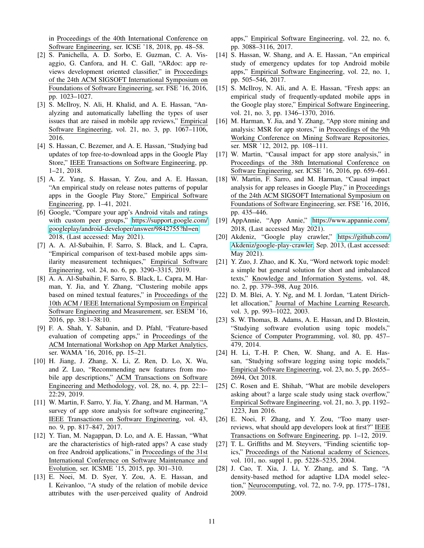in Proceedings of the 40th International Conference on Software Engineering, ser. ICSE '18, 2018, pp. 48–58.

- <span id="page-10-19"></span>[2] S. Panichella, A. D. Sorbo, E. Guzman, C. A. Visaggio, G. Canfora, and H. C. Gall, "ARdoc: app reviews development oriented classifier," in Proceedings of the 24th ACM SIGSOFT International Symposium on Foundations of Software Engineering, ser. FSE '16, 2016, pp. 1023–1027.
- <span id="page-10-18"></span>[3] S. McIlroy, N. Ali, H. Khalid, and A. E. Hassan, "Analyzing and automatically labelling the types of user issues that are raised in mobile app reviews," Empirical Software Engineering, vol. 21, no. 3, pp. 1067–1106, 2016.
- <span id="page-10-4"></span>[4] S. Hassan, C. Bezemer, and A. E. Hassan, "Studying bad updates of top free-to-download apps in the Google Play Store," IEEE Transactions on Software Engineering, pp. 1–21, 2018.
- <span id="page-10-0"></span>[5] A. Z. Yang, S. Hassan, Y. Zou, and A. E. Hassan, "An empirical study on release notes patterns of popular apps in the Google Play Store," Empirical Software Engineering, pp. 1–41, 2021.
- <span id="page-10-1"></span>[6] Google, "Compare your app's Android vitals and ratings with custom peer groups," [https://support.google.com/](https://support.google.com/googleplay/android-developer/answer/9842755?hl=en) [googleplay/android-developer/answer/9842755?hl=en,](https://support.google.com/googleplay/android-developer/answer/9842755?hl=en) 2018, (Last accessed: May 2021).
- <span id="page-10-2"></span>[7] A. A. Al-Subaihin, F. Sarro, S. Black, and L. Capra, "Empirical comparison of text-based mobile apps similarity measurement techniques," Empirical Software Engineering, vol. 24, no. 6, pp. 3290–3315, 2019.
- <span id="page-10-17"></span>[8] A. A. Al-Subaihin, F. Sarro, S. Black, L. Capra, M. Harman, Y. Jia, and Y. Zhang, "Clustering mobile apps based on mined textual features," in Proceedings of the 10th ACM / IEEE International Symposium on Empirical Software Engineering and Measurement, ser. ESEM '16, 2016, pp. 38:1–38:10.
- <span id="page-10-20"></span>[9] F. A. Shah, Y. Sabanin, and D. Pfahl, "Feature-based evaluation of competing apps," in Proceedings of the ACM International Workshop on App Market Analytics, ser. WAMA '16, 2016, pp. 15–21.
- <span id="page-10-3"></span>[10] H. Jiang, J. Zhang, X. Li, Z. Ren, D. Lo, X. Wu, and Z. Luo, "Recommending new features from mobile app descriptions," ACM Transactions on Software Engineering and Methodology, vol. 28, no. 4, pp. 22:1– 22:29, 2019.
- <span id="page-10-5"></span>[11] W. Martin, F. Sarro, Y. Jia, Y. Zhang, and M. Harman, "A survey of app store analysis for software engineering," IEEE Transactions on Software Engineering, vol. 43, no. 9, pp. 817–847, 2017.
- [12] Y. Tian, M. Nagappan, D. Lo, and A. E. Hassan, "What are the characteristics of high-rated apps? A case study on free Android applications," in Proceedings of the 31st International Conference on Software Maintenance and Evolution, ser. ICSME '15, 2015, pp. 301–310.
- [13] E. Noei, M. D. Syer, Y. Zou, A. E. Hassan, and I. Keivanloo, "A study of the relation of mobile device attributes with the user-perceived quality of Android

apps," Empirical Software Engineering, vol. 22, no. 6, pp. 3088–3116, 2017.

- [14] S. Hassan, W. Shang, and A. E. Hassan, "An empirical study of emergency updates for top Android mobile apps," Empirical Software Engineering, vol. 22, no. 1, pp. 505–546, 2017.
- [15] S. McIlroy, N. Ali, and A. E. Hassan, "Fresh apps: an empirical study of frequently-updated mobile apps in the Google play store," Empirical Software Engineering, vol. 21, no. 3, pp. 1346–1370, 2016.
- [16] M. Harman, Y. Jia, and Y. Zhang, "App store mining and analysis: MSR for app stores," in Proceedings of the 9th Working Conference on Mining Software Repositories, ser. MSR '12, 2012, pp. 108–111.
- [17] W. Martin, "Causal impact for app store analysis," in Proceedings of the 38th International Conference on Software Engineering, ser. ICSE '16, 2016, pp. 659–661.
- <span id="page-10-6"></span>[18] W. Martin, F. Sarro, and M. Harman, "Causal impact analysis for app releases in Google Play," in Proceedings of the 24th ACM SIGSOFT International Symposium on Foundations of Software Engineering, ser. FSE '16, 2016, pp. 435–446.
- <span id="page-10-7"></span>[19] AppAnnie, "App Annie," [https://www.appannie.com/,](https://www.appannie.com/) 2018, (Last accessed May 2021).
- <span id="page-10-8"></span>[20] Akdeniz, "Google play crawler," [https://github.com/](https://github.com/Akdeniz/google-play-crawler) [Akdeniz/google-play-crawler,](https://github.com/Akdeniz/google-play-crawler) Sep. 2013, (Last accessed: May 2021).
- <span id="page-10-9"></span>[21] Y. Zuo, J. Zhao, and K. Xu, "Word network topic model: a simple but general solution for short and imbalanced texts," Knowledge and Information Systems, vol. 48, no. 2, pp. 379–398, Aug 2016.
- <span id="page-10-10"></span>[22] D. M. Blei, A. Y. Ng, and M. I. Jordan, "Latent Dirichlet allocation," Journal of Machine Learning Research, vol. 3, pp. 993–1022, 2003.
- <span id="page-10-11"></span>[23] S. W. Thomas, B. Adams, A. E. Hassan, and D. Blostein, "Studying software evolution using topic models," Science of Computer Programming, vol. 80, pp. 457– 479, 2014.
- <span id="page-10-16"></span>[24] H. Li, T.-H. P. Chen, W. Shang, and A. E. Hassan, "Studying software logging using topic models," Empirical Software Engineering, vol. 23, no. 5, pp. 2655– 2694, Oct 2018.
- <span id="page-10-12"></span>[25] C. Rosen and E. Shihab, "What are mobile developers asking about? a large scale study using stack overflow," Empirical Software Engineering, vol. 21, no. 3, pp. 1192– 1223, Jun 2016.
- <span id="page-10-13"></span>[26] E. Noei, F. Zhang, and Y. Zou, "Too many userreviews, what should app developers look at first?" IEEE Transactions on Software Engineering, pp. 1–12, 2019.
- <span id="page-10-14"></span>[27] T. L. Griffiths and M. Steyvers, "Finding scientific topics," Proceedings of the National academy of Sciences, vol. 101, no. suppl 1, pp. 5228–5235, 2004.
- <span id="page-10-15"></span>[28] J. Cao, T. Xia, J. Li, Y. Zhang, and S. Tang, "A density-based method for adaptive LDA model selection," Neurocomputing, vol. 72, no. 7-9, pp. 1775–1781, 2009.